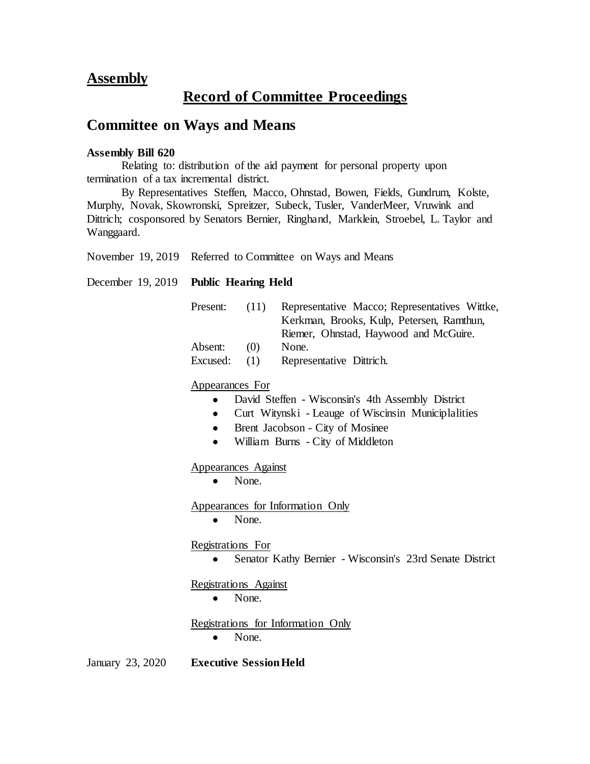## **Assembly**

## **Record of Committee Proceedings**

## **Committee on Ways and Means**

## **Assembly Bill 620**

Relating to: distribution of the aid payment for personal property upon termination of a tax incremental district.

By Representatives Steffen, Macco, Ohnstad, Bowen, Fields, Gundrum, Kolste, Murphy, Novak, Skowronski, Spreitzer, Subeck, Tusler, VanderMeer, Vruwink and Dittrich; cosponsored by Senators Bernier, Ringhand, Marklein, Stroebel, L. Taylor and Wanggaard.

November 19, 2019 Referred to Committee on Ways and Means

December 19, 2019 **Public Hearing Held**

| Present: | (11) | Representative Macco; Representatives Wittke, |
|----------|------|-----------------------------------------------|
|          |      | Kerkman, Brooks, Kulp, Petersen, Ramthun,     |
|          |      | Riemer, Ohnstad, Haywood and McGuire.         |
| Absent:  | (0)  | None.                                         |
| Excused: | (1)  | Representative Dittrich.                      |

Appearances For

- David Steffen Wisconsin's 4th Assembly District
- Curt Witynski Leauge of Wiscinsin Municiplalities
- Brent Jacobson City of Mosinee
- William Burns City of Middleton

Appearances Against

• None.

Appearances for Information Only

• None.

Registrations For

Senator Kathy Bernier - Wisconsin's 23rd Senate District

Registrations Against

• None.

Registrations for Information Only • None.

January 23, 2020 **Executive Session Held**